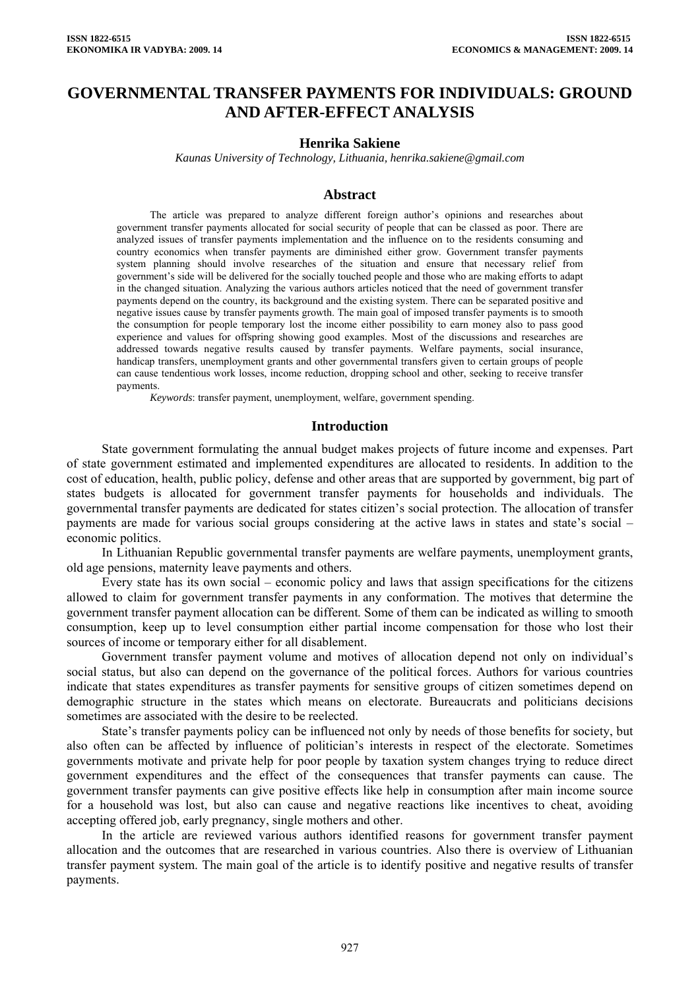# **GOVERNMENTAL TRANSFER PAYMENTS FOR INDIVIDUALS: GROUND AND AFTER-EFFECT ANALYSIS**

#### **Henrika Sakiene**

*Kaunas University of Technology, Lithuania, henrika.sakiene@gmail.com* 

#### **Abstract**

The article was prepared to analyze different foreign author's opinions and researches about government transfer payments allocated for social security of people that can be classed as poor. There are analyzed issues of transfer payments implementation and the influence on to the residents consuming and country economics when transfer payments are diminished either grow. Government transfer payments system planning should involve researches of the situation and ensure that necessary relief from government's side will be delivered for the socially touched people and those who are making efforts to adapt in the changed situation. Analyzing the various authors articles noticed that the need of government transfer payments depend on the country, its background and the existing system. There can be separated positive and negative issues cause by transfer payments growth. The main goal of imposed transfer payments is to smooth the consumption for people temporary lost the income either possibility to earn money also to pass good experience and values for offspring showing good examples. Most of the discussions and researches are addressed towards negative results caused by transfer payments. Welfare payments, social insurance, handicap transfers, unemployment grants and other governmental transfers given to certain groups of people can cause tendentious work losses, income reduction, dropping school and other, seeking to receive transfer payments.

*Keywords*: transfer payment, unemployment, welfare, government spending.

#### **Introduction**

State government formulating the annual budget makes projects of future income and expenses. Part of state government estimated and implemented expenditures are allocated to residents. In addition to the cost of education, health, public policy, defense and other areas that are supported by government, big part of states budgets is allocated for government transfer payments for households and individuals. The governmental transfer payments are dedicated for states citizen's social protection. The allocation of transfer payments are made for various social groups considering at the active laws in states and state's social – economic politics.

In Lithuanian Republic governmental transfer payments are welfare payments, unemployment grants, old age pensions, maternity leave payments and others.

Every state has its own social – economic policy and laws that assign specifications for the citizens allowed to claim for government transfer payments in any conformation. The motives that determine the government transfer payment allocation can be different. Some of them can be indicated as willing to smooth consumption, keep up to level consumption either partial income compensation for those who lost their sources of income or temporary either for all disablement.

Government transfer payment volume and motives of allocation depend not only on individual's social status, but also can depend on the governance of the political forces. Authors for various countries indicate that states expenditures as transfer payments for sensitive groups of citizen sometimes depend on demographic structure in the states which means on electorate. Bureaucrats and politicians decisions sometimes are associated with the desire to be reelected.

State's transfer payments policy can be influenced not only by needs of those benefits for society, but also often can be affected by influence of politician's interests in respect of the electorate. Sometimes governments motivate and private help for poor people by taxation system changes trying to reduce direct government expenditures and the effect of the consequences that transfer payments can cause. The government transfer payments can give positive effects like help in consumption after main income source for a household was lost, but also can cause and negative reactions like incentives to cheat, avoiding accepting offered job, early pregnancy, single mothers and other.

In the article are reviewed various authors identified reasons for government transfer payment allocation and the outcomes that are researched in various countries. Also there is overview of Lithuanian transfer payment system. The main goal of the article is to identify positive and negative results of transfer payments.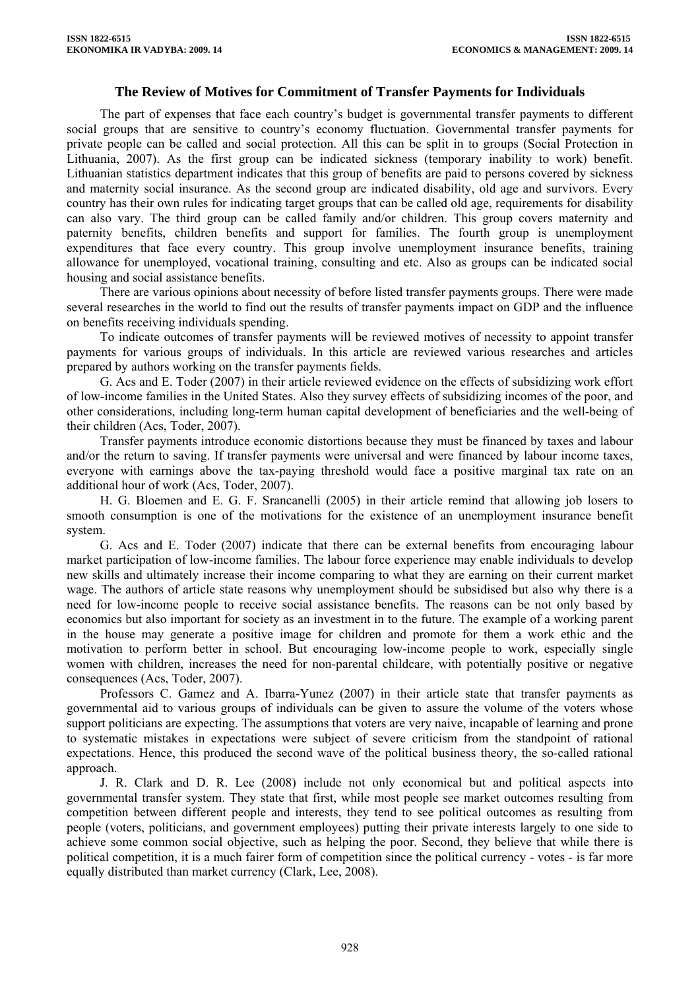## **The Review of Motives for Commitment of Transfer Payments for Individuals**

The part of expenses that face each country's budget is governmental transfer payments to different social groups that are sensitive to country's economy fluctuation. Governmental transfer payments for private people can be called and social protection. All this can be split in to groups (Social Protection in Lithuania, 2007). As the first group can be indicated sickness (temporary inability to work) benefit. Lithuanian statistics department indicates that this group of benefits are paid to persons covered by sickness and maternity social insurance. As the second group are indicated disability, old age and survivors. Every country has their own rules for indicating target groups that can be called old age, requirements for disability can also vary. The third group can be called family and/or children. This group covers maternity and paternity benefits, children benefits and support for families. The fourth group is unemployment expenditures that face every country. This group involve unemployment insurance benefits, training allowance for unemployed, vocational training, consulting and etc. Also as groups can be indicated social housing and social assistance benefits.

There are various opinions about necessity of before listed transfer payments groups. There were made several researches in the world to find out the results of transfer payments impact on GDP and the influence on benefits receiving individuals spending.

To indicate outcomes of transfer payments will be reviewed motives of necessity to appoint transfer payments for various groups of individuals. In this article are reviewed various researches and articles prepared by authors working on the transfer payments fields.

G. Acs and E. Toder (2007) in their article reviewed evidence on the effects of subsidizing work effort of low-income families in the United States. Also they survey effects of subsidizing incomes of the poor, and other considerations, including long-term human capital development of beneficiaries and the well-being of their children (Acs, Toder, 2007).

Transfer payments introduce economic distortions because they must be financed by taxes and labour and/or the return to saving. If transfer payments were universal and were financed by labour income taxes, everyone with earnings above the tax-paying threshold would face a positive marginal tax rate on an additional hour of work (Acs, Toder, 2007).

H. G. Bloemen and E. G. F. Srancanelli (2005) in their article remind that allowing job losers to smooth consumption is one of the motivations for the existence of an unemployment insurance benefit system.

G. Acs and E. Toder (2007) indicate that there can be external benefits from encouraging labour market participation of low-income families. The labour force experience may enable individuals to develop new skills and ultimately increase their income comparing to what they are earning on their current market wage. The authors of article state reasons why unemployment should be subsidised but also why there is a need for low-income people to receive social assistance benefits. The reasons can be not only based by economics but also important for society as an investment in to the future. The example of a working parent in the house may generate a positive image for children and promote for them a work ethic and the motivation to perform better in school. But encouraging low-income people to work, especially single women with children, increases the need for non-parental childcare, with potentially positive or negative consequences (Acs, Toder, 2007).

Professors C. Gamez and A. Ibarra-Yunez (2007) in their article state that transfer payments as governmental aid to various groups of individuals can be given to assure the volume of the voters whose support politicians are expecting. The assumptions that voters are very naive, incapable of learning and prone to systematic mistakes in expectations were subject of severe criticism from the standpoint of rational expectations. Hence, this produced the second wave of the political business theory, the so-called rational approach.

J. R. Clark and D. R. Lee (2008) include not only economical but and political aspects into governmental transfer system. They state that first, while most people see market outcomes resulting from competition between different people and interests, they tend to see political outcomes as resulting from people (voters, politicians, and government employees) putting their private interests largely to one side to achieve some common social objective, such as helping the poor. Second, they believe that while there is political competition, it is a much fairer form of competition since the political currency - votes - is far more equally distributed than market currency (Clark, Lee, 2008).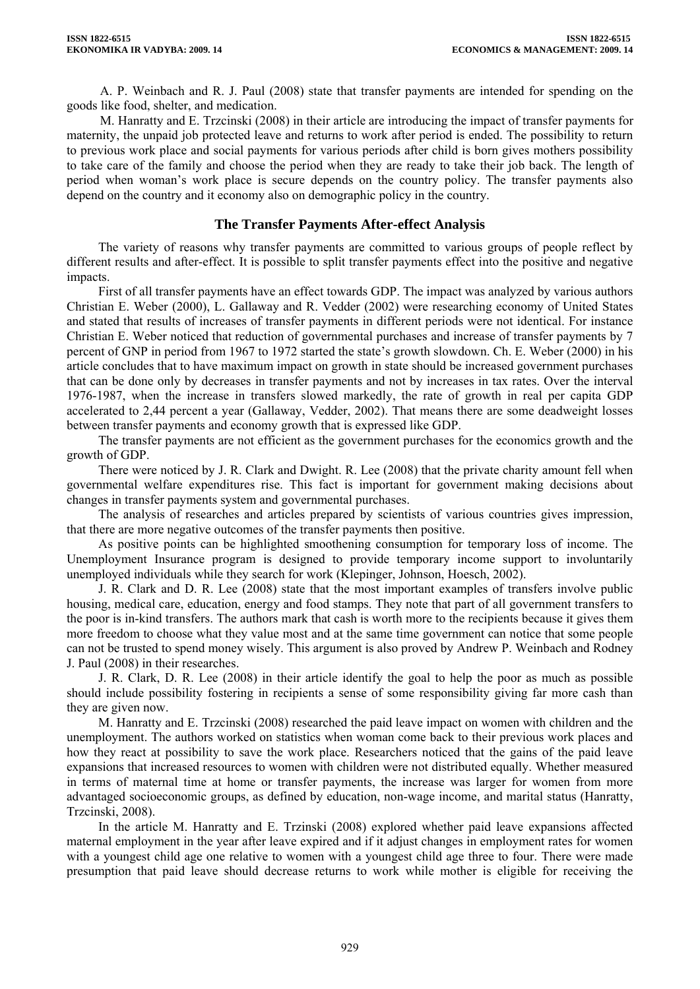A. P. Weinbach and R. J. Paul (2008) state that transfer payments are intended for spending on the goods like food, shelter, and medication.

M. Hanratty and E. Trzcinski (2008) in their article are introducing the impact of transfer payments for maternity, the unpaid job protected leave and returns to work after period is ended. The possibility to return to previous work place and social payments for various periods after child is born gives mothers possibility to take care of the family and choose the period when they are ready to take their job back. The length of period when woman's work place is secure depends on the country policy. The transfer payments also depend on the country and it economy also on demographic policy in the country.

## **The Transfer Payments After-effect Analysis**

The variety of reasons why transfer payments are committed to various groups of people reflect by different results and after-effect. It is possible to split transfer payments effect into the positive and negative impacts.

First of all transfer payments have an effect towards GDP. The impact was analyzed by various authors Christian E. Weber (2000), L. Gallaway and R. Vedder (2002) were researching economy of United States and stated that results of increases of transfer payments in different periods were not identical. For instance Christian E. Weber noticed that reduction of governmental purchases and increase of transfer payments by 7 percent of GNP in period from 1967 to 1972 started the state's growth slowdown. Ch. E. Weber (2000) in his article concludes that to have maximum impact on growth in state should be increased government purchases that can be done only by decreases in transfer payments and not by increases in tax rates. Over the interval 1976-1987, when the increase in transfers slowed markedly, the rate of growth in real per capita GDP accelerated to 2,44 percent a year (Gallaway, Vedder, 2002). That means there are some deadweight losses between transfer payments and economy growth that is expressed like GDP.

The transfer payments are not efficient as the government purchases for the economics growth and the growth of GDP.

There were noticed by J. R. Clark and Dwight. R. Lee (2008) that the private charity amount fell when governmental welfare expenditures rise. This fact is important for government making decisions about changes in transfer payments system and governmental purchases.

The analysis of researches and articles prepared by scientists of various countries gives impression, that there are more negative outcomes of the transfer payments then positive.

As positive points can be highlighted smoothening consumption for temporary loss of income. The Unemployment Insurance program is designed to provide temporary income support to involuntarily unemployed individuals while they search for work (Klepinger, Johnson, Hoesch, 2002).

J. R. Clark and D. R. Lee (2008) state that the most important examples of transfers involve public housing, medical care, education, energy and food stamps. They note that part of all government transfers to the poor is in-kind transfers. The authors mark that cash is worth more to the recipients because it gives them more freedom to choose what they value most and at the same time government can notice that some people can not be trusted to spend money wisely. This argument is also proved by Andrew P. Weinbach and Rodney J. Paul (2008) in their researches.

J. R. Clark, D. R. Lee (2008) in their article identify the goal to help the poor as much as possible should include possibility fostering in recipients a sense of some responsibility giving far more cash than they are given now.

M. Hanratty and E. Trzcinski (2008) researched the paid leave impact on women with children and the unemployment. The authors worked on statistics when woman come back to their previous work places and how they react at possibility to save the work place. Researchers noticed that the gains of the paid leave expansions that increased resources to women with children were not distributed equally. Whether measured in terms of maternal time at home or transfer payments, the increase was larger for women from more advantaged socioeconomic groups, as defined by education, non-wage income, and marital status (Hanratty, Trzcinski, 2008).

In the article M. Hanratty and E. Trzinski (2008) explored whether paid leave expansions affected maternal employment in the year after leave expired and if it adjust changes in employment rates for women with a youngest child age one relative to women with a youngest child age three to four. There were made presumption that paid leave should decrease returns to work while mother is eligible for receiving the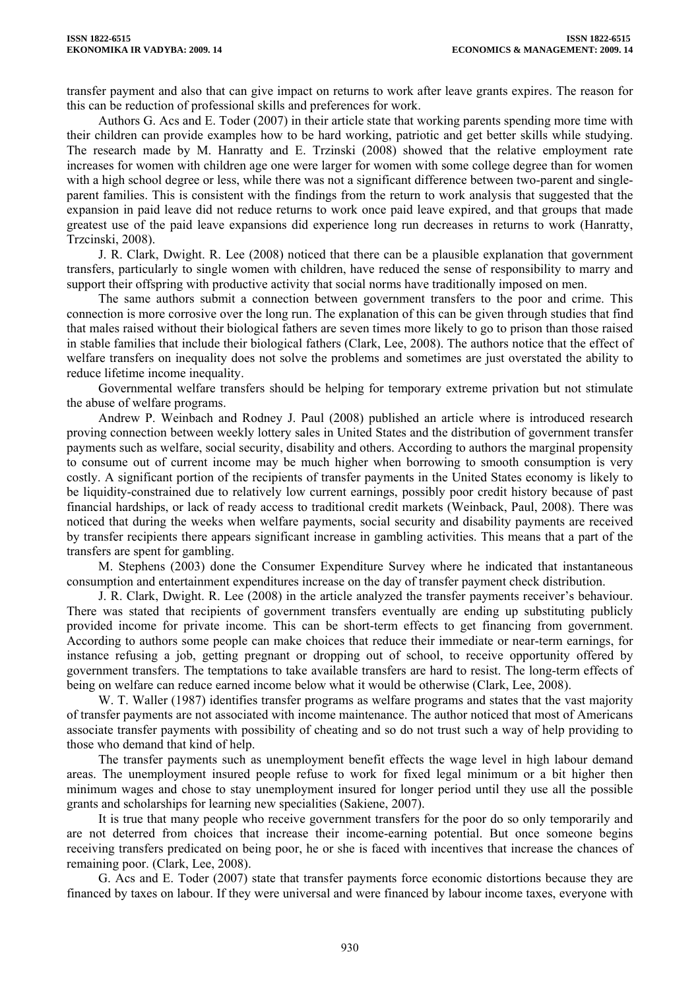transfer payment and also that can give impact on returns to work after leave grants expires. The reason for this can be reduction of professional skills and preferences for work.

Authors G. Acs and E. Toder (2007) in their article state that working parents spending more time with their children can provide examples how to be hard working, patriotic and get better skills while studying. The research made by M. Hanratty and E. Trzinski (2008) showed that the relative employment rate increases for women with children age one were larger for women with some college degree than for women with a high school degree or less, while there was not a significant difference between two-parent and singleparent families. This is consistent with the findings from the return to work analysis that suggested that the expansion in paid leave did not reduce returns to work once paid leave expired, and that groups that made greatest use of the paid leave expansions did experience long run decreases in returns to work (Hanratty, Trzcinski, 2008).

J. R. Clark, Dwight. R. Lee (2008) noticed that there can be a plausible explanation that government transfers, particularly to single women with children, have reduced the sense of responsibility to marry and support their offspring with productive activity that social norms have traditionally imposed on men.

The same authors submit a connection between government transfers to the poor and crime. This connection is more corrosive over the long run. The explanation of this can be given through studies that find that males raised without their biological fathers are seven times more likely to go to prison than those raised in stable families that include their biological fathers (Clark, Lee, 2008). The authors notice that the effect of welfare transfers on inequality does not solve the problems and sometimes are just overstated the ability to reduce lifetime income inequality.

Governmental welfare transfers should be helping for temporary extreme privation but not stimulate the abuse of welfare programs.

Andrew P. Weinbach and Rodney J. Paul (2008) published an article where is introduced research proving connection between weekly lottery sales in United States and the distribution of government transfer payments such as welfare, social security, disability and others. According to authors the marginal propensity to consume out of current income may be much higher when borrowing to smooth consumption is very costly. A significant portion of the recipients of transfer payments in the United States economy is likely to be liquidity-constrained due to relatively low current earnings, possibly poor credit history because of past financial hardships, or lack of ready access to traditional credit markets (Weinback, Paul, 2008). There was noticed that during the weeks when welfare payments, social security and disability payments are received by transfer recipients there appears significant increase in gambling activities. This means that a part of the transfers are spent for gambling.

M. Stephens (2003) done the Consumer Expenditure Survey where he indicated that instantaneous consumption and entertainment expenditures increase on the day of transfer payment check distribution.

J. R. Clark, Dwight. R. Lee (2008) in the article analyzed the transfer payments receiver's behaviour. There was stated that recipients of government transfers eventually are ending up substituting publicly provided income for private income. This can be short-term effects to get financing from government. According to authors some people can make choices that reduce their immediate or near-term earnings, for instance refusing a job, getting pregnant or dropping out of school, to receive opportunity offered by government transfers. The temptations to take available transfers are hard to resist. The long-term effects of being on welfare can reduce earned income below what it would be otherwise (Clark, Lee, 2008).

W. T. Waller (1987) identifies transfer programs as welfare programs and states that the vast majority of transfer payments are not associated with income maintenance. The author noticed that most of Americans associate transfer payments with possibility of cheating and so do not trust such a way of help providing to those who demand that kind of help.

The transfer payments such as unemployment benefit effects the wage level in high labour demand areas. The unemployment insured people refuse to work for fixed legal minimum or a bit higher then minimum wages and chose to stay unemployment insured for longer period until they use all the possible grants and scholarships for learning new specialities (Sakiene, 2007).

It is true that many people who receive government transfers for the poor do so only temporarily and are not deterred from choices that increase their income-earning potential. But once someone begins receiving transfers predicated on being poor, he or she is faced with incentives that increase the chances of remaining poor. (Clark, Lee, 2008).

G. Acs and E. Toder (2007) state that transfer payments force economic distortions because they are financed by taxes on labour. If they were universal and were financed by labour income taxes, everyone with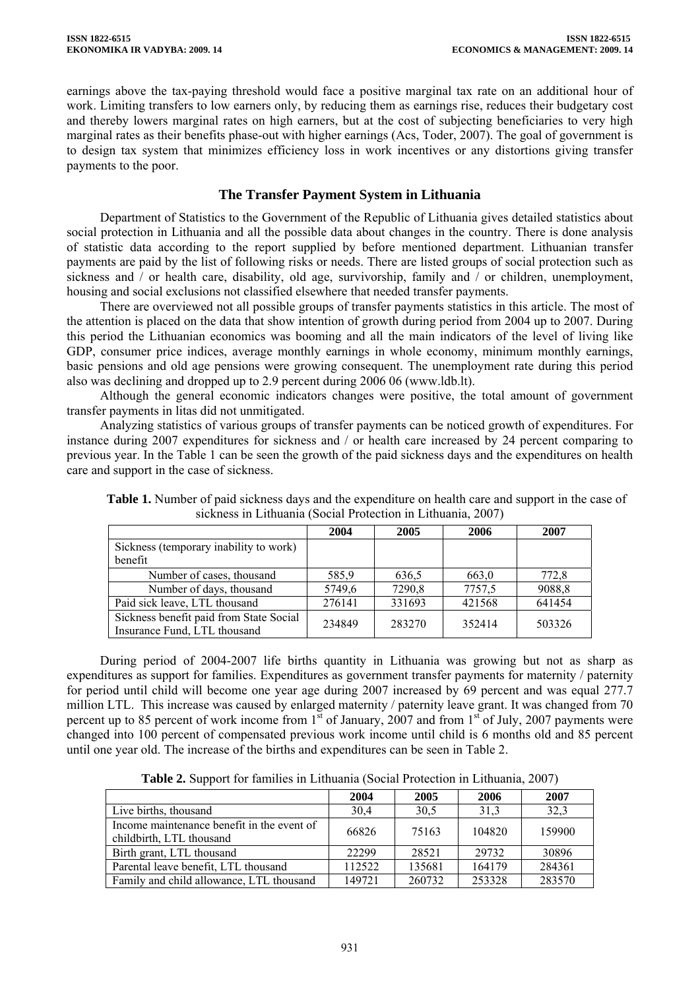earnings above the tax-paying threshold would face a positive marginal tax rate on an additional hour of work. Limiting transfers to low earners only, by reducing them as earnings rise, reduces their budgetary cost and thereby lowers marginal rates on high earners, but at the cost of subjecting beneficiaries to very high marginal rates as their benefits phase-out with higher earnings (Acs, Toder, 2007). The goal of government is to design tax system that minimizes efficiency loss in work incentives or any distortions giving transfer payments to the poor.

### **The Transfer Payment System in Lithuania**

Department of Statistics to the Government of the Republic of Lithuania gives detailed statistics about social protection in Lithuania and all the possible data about changes in the country. There is done analysis of statistic data according to the report supplied by before mentioned department. Lithuanian transfer payments are paid by the list of following risks or needs. There are listed groups of social protection such as sickness and  $\overline{\phantom{x}}$  or health care, disability, old age, survivorship, family and  $\overline{\phantom{x}}$  or children, unemployment, housing and social exclusions not classified elsewhere that needed transfer payments.

There are overviewed not all possible groups of transfer payments statistics in this article. The most of the attention is placed on the data that show intention of growth during period from 2004 up to 2007. During this period the Lithuanian economics was booming and all the main indicators of the level of living like GDP, consumer price indices, average monthly earnings in whole economy, minimum monthly earnings, basic pensions and old age pensions were growing consequent. The unemployment rate during this period also was declining and dropped up to 2.9 percent during 2006 06 (www.ldb.lt).

Although the general economic indicators changes were positive, the total amount of government transfer payments in litas did not unmitigated.

Analyzing statistics of various groups of transfer payments can be noticed growth of expenditures. For instance during 2007 expenditures for sickness and / or health care increased by 24 percent comparing to previous year. In the Table 1 can be seen the growth of the paid sickness days and the expenditures on health care and support in the case of sickness.

|                                                                         | 2004   | 2005   | 2006   | 2007   |
|-------------------------------------------------------------------------|--------|--------|--------|--------|
| Sickness (temporary inability to work)<br>benefit                       |        |        |        |        |
| Number of cases, thousand                                               | 585,9  | 636.5  | 663,0  | 772,8  |
| Number of days, thousand                                                | 5749,6 | 7290,8 | 7757,5 | 9088,8 |
| Paid sick leave, LTL thousand                                           | 276141 | 331693 | 421568 | 641454 |
| Sickness benefit paid from State Social<br>Insurance Fund, LTL thousand | 234849 | 283270 | 352414 | 503326 |

**Table 1.** Number of paid sickness days and the expenditure on health care and support in the case of sickness in Lithuania (Social Protection in Lithuania, 2007)

During period of 2004-2007 life births quantity in Lithuania was growing but not as sharp as expenditures as support for families. Expenditures as government transfer payments for maternity / paternity for period until child will become one year age during 2007 increased by 69 percent and was equal 277.7 million LTL. This increase was caused by enlarged maternity / paternity leave grant. It was changed from 70 percent up to 85 percent of work income from  $1<sup>st</sup>$  of January, 2007 and from  $1<sup>st</sup>$  of July, 2007 payments were changed into 100 percent of compensated previous work income until child is 6 months old and 85 percent until one year old. The increase of the births and expenditures can be seen in Table 2.

**Table 2.** Support for families in Lithuania (Social Protection in Lithuania, 2007)

|                                            | 2004   | 2005   | 2006   | 2007   |
|--------------------------------------------|--------|--------|--------|--------|
| Live births, thousand                      | 30,4   | 30.5   | 31,3   | 32,3   |
| Income maintenance benefit in the event of | 66826  | 75163  | 104820 | 159900 |
| childbirth, LTL thousand                   |        |        |        |        |
| Birth grant, LTL thousand                  | 22299  | 28521  | 29732  | 30896  |
| Parental leave benefit, LTL thousand       | 112522 | 135681 | 164179 | 284361 |
| Family and child allowance, LTL thousand   | 149721 | 260732 | 253328 | 283570 |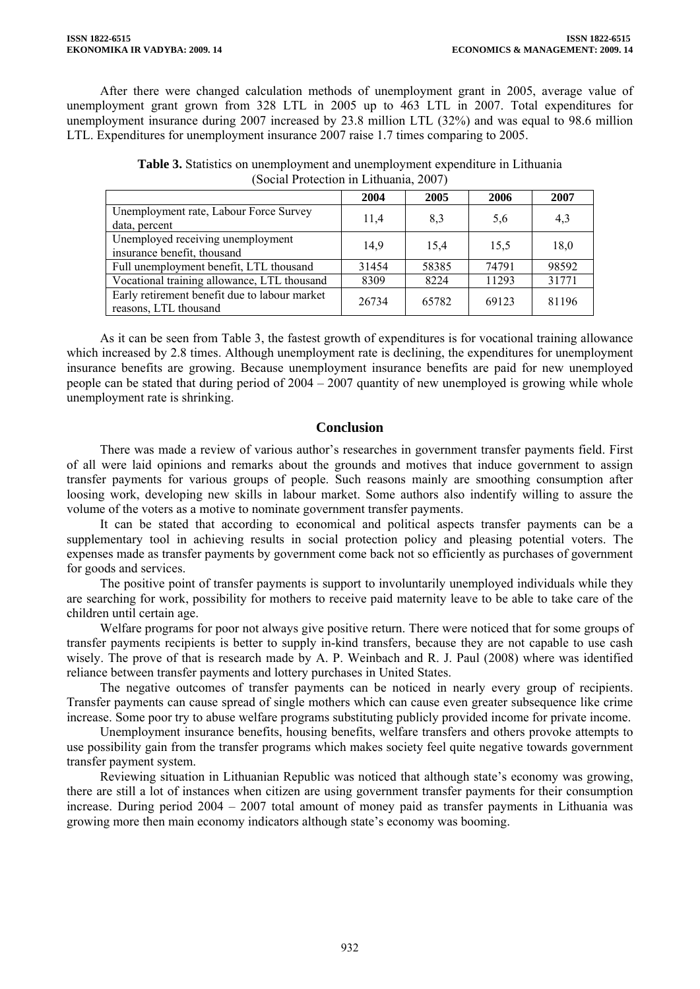After there were changed calculation methods of unemployment grant in 2005, average value of unemployment grant grown from 328 LTL in 2005 up to 463 LTL in 2007. Total expenditures for unemployment insurance during 2007 increased by 23.8 million LTL (32%) and was equal to 98.6 million LTL. Expenditures for unemployment insurance 2007 raise 1.7 times comparing to 2005.

|                                                                        | 2004  | 2005  | 2006  | 2007  |  |  |
|------------------------------------------------------------------------|-------|-------|-------|-------|--|--|
| Unemployment rate, Labour Force Survey<br>data, percent                | 11,4  | 8.3   | 5,6   | 4,3   |  |  |
| Unemployed receiving unemployment<br>insurance benefit, thousand       | 14,9  | 15,4  | 15.5  | 18,0  |  |  |
| Full unemployment benefit, LTL thousand                                | 31454 | 58385 | 74791 | 98592 |  |  |
| Vocational training allowance, LTL thousand                            | 8309  | 8224  | 11293 | 31771 |  |  |
| Early retirement benefit due to labour market<br>reasons, LTL thousand | 26734 | 65782 | 69123 | 81196 |  |  |

**Table 3.** Statistics on unemployment and unemployment expenditure in Lithuania (Social Protection in Lithuania, 2007)

As it can be seen from Table 3, the fastest growth of expenditures is for vocational training allowance which increased by 2.8 times. Although unemployment rate is declining, the expenditures for unemployment insurance benefits are growing. Because unemployment insurance benefits are paid for new unemployed people can be stated that during period of 2004 – 2007 quantity of new unemployed is growing while whole unemployment rate is shrinking.

### **Conclusion**

There was made a review of various author's researches in government transfer payments field. First of all were laid opinions and remarks about the grounds and motives that induce government to assign transfer payments for various groups of people. Such reasons mainly are smoothing consumption after loosing work, developing new skills in labour market. Some authors also indentify willing to assure the volume of the voters as a motive to nominate government transfer payments.

It can be stated that according to economical and political aspects transfer payments can be a supplementary tool in achieving results in social protection policy and pleasing potential voters. The expenses made as transfer payments by government come back not so efficiently as purchases of government for goods and services.

The positive point of transfer payments is support to involuntarily unemployed individuals while they are searching for work, possibility for mothers to receive paid maternity leave to be able to take care of the children until certain age.

Welfare programs for poor not always give positive return. There were noticed that for some groups of transfer payments recipients is better to supply in-kind transfers, because they are not capable to use cash wisely. The prove of that is research made by A. P. Weinbach and R. J. Paul (2008) where was identified reliance between transfer payments and lottery purchases in United States.

The negative outcomes of transfer payments can be noticed in nearly every group of recipients. Transfer payments can cause spread of single mothers which can cause even greater subsequence like crime increase. Some poor try to abuse welfare programs substituting publicly provided income for private income.

Unemployment insurance benefits, housing benefits, welfare transfers and others provoke attempts to use possibility gain from the transfer programs which makes society feel quite negative towards government transfer payment system.

Reviewing situation in Lithuanian Republic was noticed that although state's economy was growing, there are still a lot of instances when citizen are using government transfer payments for their consumption increase. During period 2004 – 2007 total amount of money paid as transfer payments in Lithuania was growing more then main economy indicators although state's economy was booming.